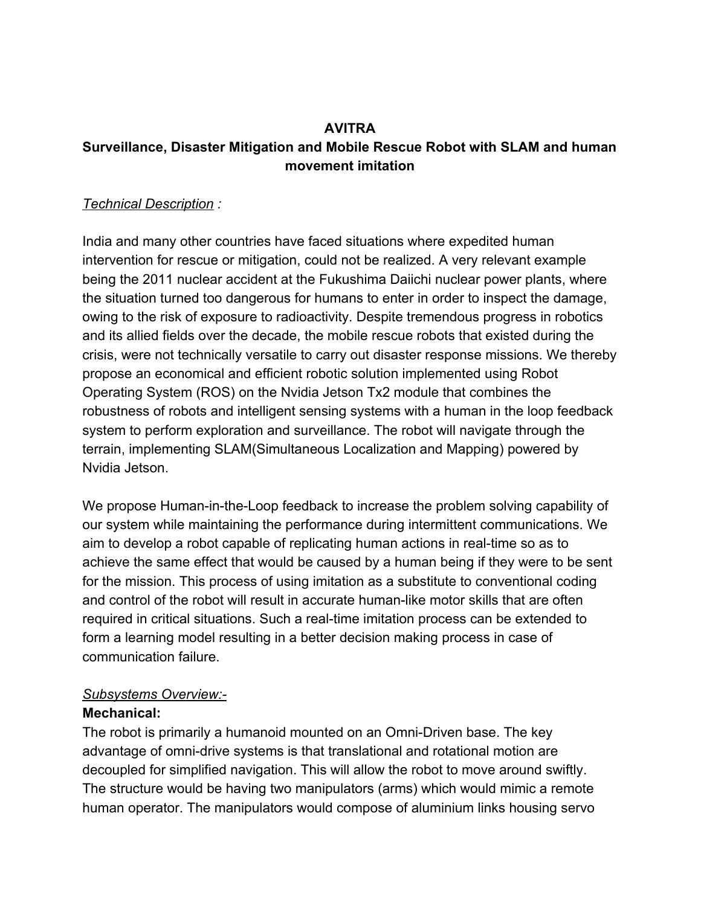# **AVITRA**

# **Surveillance, Disaster Mitigation and Mobile Rescue Robot with SLAM and human movement imitation**

# *Technical Description :*

India and many other countries have faced situations where expedited human intervention for rescue or mitigation, could not be realized. A very relevant example being the 2011 nuclear accident at the Fukushima Daiichi nuclear power plants, where the situation turned too dangerous for humans to enter in order to inspect the damage, owing to the risk of exposure to radioactivity. Despite tremendous progress in robotics and its allied fields over the decade, the mobile rescue robots that existed during the crisis, were not technically versatile to carry out disaster response missions. We thereby propose an economical and efficient robotic solution implemented using Robot Operating System (ROS) on the Nvidia Jetson Tx2 module that combines the robustness of robots and intelligent sensing systems with a human in the loop feedback system to perform exploration and surveillance. The robot will navigate through the terrain, implementing SLAM(Simultaneous Localization and Mapping) powered by Nvidia Jetson.

We propose Human-in-the-Loop feedback to increase the problem solving capability of our system while maintaining the performance during intermittent communications. We aim to develop a robot capable of replicating human actions in real-time so as to achieve the same effect that would be caused by a human being if they were to be sent for the mission. This process of using imitation as a substitute to conventional coding and control of the robot will result in accurate human-like motor skills that are often required in critical situations. Such a real-time imitation process can be extended to form a learning model resulting in a better decision making process in case of communication failure.

# *Subsystems Overview:-*

# **Mechanical:**

The robot is primarily a humanoid mounted on an Omni-Driven base. The key advantage of omni-drive systems is that translational and rotational motion are decoupled for simplified navigation. This will allow the robot to move around swiftly. The structure would be having two manipulators (arms) which would mimic a remote human operator. The manipulators would compose of aluminium links housing servo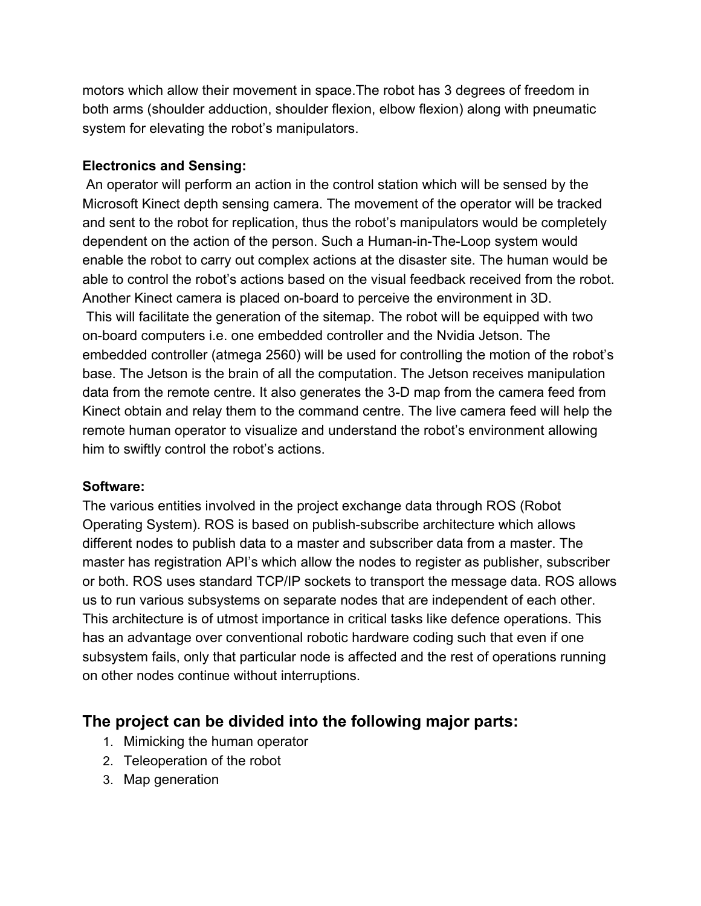motors which allow their movement in space.The robot has 3 degrees of freedom in both arms (shoulder adduction, shoulder flexion, elbow flexion) along with pneumatic system for elevating the robot's manipulators.

## **Electronics and Sensing:**

 An operator will perform an action in the control station which will be sensed by the Microsoft Kinect depth sensing camera. The movement of the operator will be tracked and sent to the robot for replication, thus the robot's manipulators would be completely dependent on the action of the person. Such a Human-in-The-Loop system would enable the robot to carry out complex actions at the disaster site. The human would be able to control the robot's actions based on the visual feedback received from the robot. Another Kinect camera is placed on-board to perceive the environment in 3D. This will facilitate the generation of the sitemap. The robot will be equipped with two on-board computers i.e. one embedded controller and the Nvidia Jetson. The embedded controller (atmega 2560) will be used for controlling the motion of the robot's base. The Jetson is the brain of all the computation. The Jetson receives manipulation data from the remote centre. It also generates the 3-D map from the camera feed from Kinect obtain and relay them to the command centre. The live camera feed will help the remote human operator to visualize and understand the robot's environment allowing him to swiftly control the robot's actions.

## **Software:**

The various entities involved in the project exchange data through ROS (Robot Operating System). ROS is based on publish-subscribe architecture which allows different nodes to publish data to a master and subscriber data from a master. The master has registration API's which allow the nodes to register as publisher, subscriber or both. ROS uses standard TCP/IP sockets to transport the message data. ROS allows us to run various subsystems on separate nodes that are independent of each other. This architecture is of utmost importance in critical tasks like defence operations. This has an advantage over conventional robotic hardware coding such that even if one subsystem fails, only that particular node is affected and the rest of operations running on other nodes continue without interruptions.

# **The project can be divided into the following major parts:**

- 1. Mimicking the human operator
- 2. Teleoperation of the robot
- 3. Map generation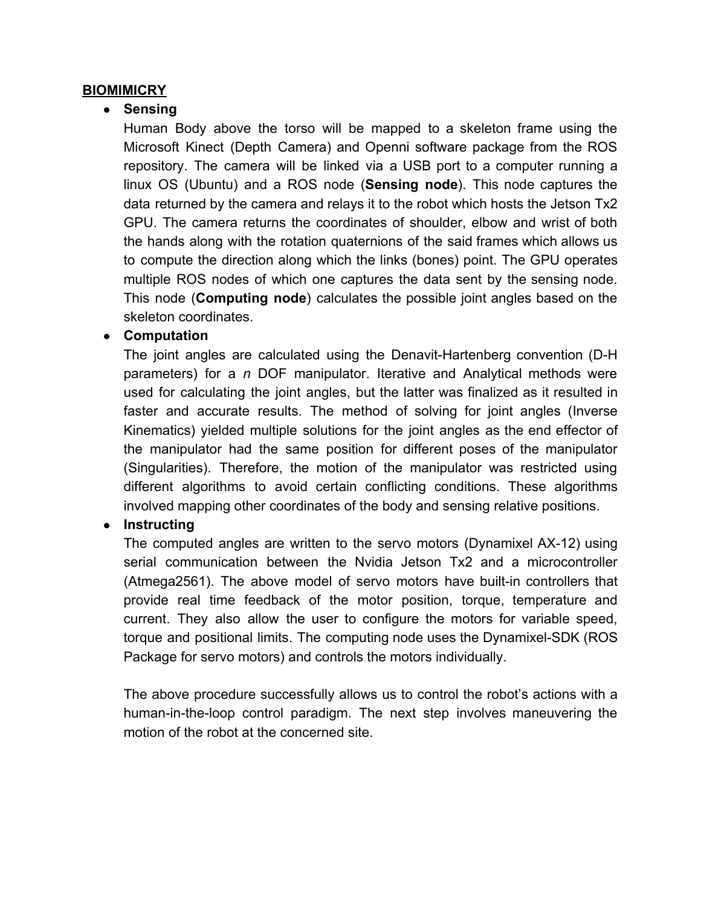#### **BIOMIMICRY**

#### ● **Sensing**

Human Body above the torso will be mapped to a skeleton frame using the Microsoft Kinect (Depth Camera) and Openni software package from the ROS repository. The camera will be linked via a USB port to a computer running a linux OS (Ubuntu) and a ROS node (**Sensing node**). This node captures the data returned by the camera and relays it to the robot which hosts the Jetson Tx2 GPU. The camera returns the coordinates of shoulder, elbow and wrist of both the hands along with the rotation quaternions of the said frames which allows us to compute the direction along which the links (bones) point. The GPU operates multiple ROS nodes of which one captures the data sent by the sensing node. This node (**Computing node**) calculates the possible joint angles based on the skeleton coordinates.

## ● **Computation**

The joint angles are calculated using the Denavit-Hartenberg convention (D-H parameters) for a *n* DOF manipulator. Iterative and Analytical methods were used for calculating the joint angles, but the latter was finalized as it resulted in faster and accurate results. The method of solving for joint angles (Inverse Kinematics) yielded multiple solutions for the joint angles as the end effector of the manipulator had the same position for different poses of the manipulator (Singularities). Therefore, the motion of the manipulator was restricted using different algorithms to avoid certain conflicting conditions. These algorithms involved mapping other coordinates of the body and sensing relative positions.

## ● **Instructing**

The computed angles are written to the servo motors (Dynamixel AX-12) using serial communication between the Nvidia Jetson Tx2 and a microcontroller (Atmega2561). The above model of servo motors have built-in controllers that provide real time feedback of the motor position, torque, temperature and current. They also allow the user to configure the motors for variable speed, torque and positional limits. The computing node uses the Dynamixel-SDK (ROS Package for servo motors) and controls the motors individually.

The above procedure successfully allows us to control the robot's actions with a human-in-the-loop control paradigm. The next step involves maneuvering the motion of the robot at the concerned site.